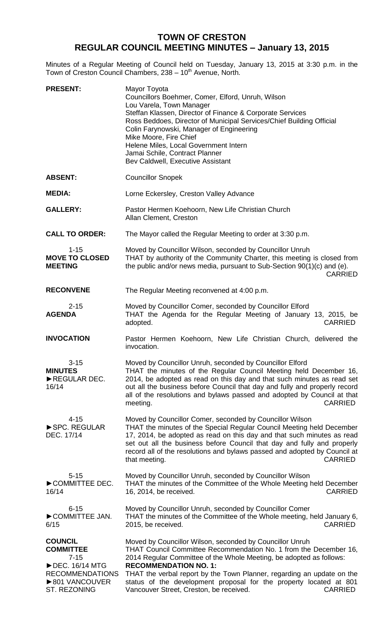## **TOWN OF CRESTON REGULAR COUNCIL MEETING MINUTES – January 13, 2015**

Minutes of a Regular Meeting of Council held on Tuesday, January 13, 2015 at 3:30 p.m. in the Town of Creston Council Chambers, 238 - 10<sup>th</sup> Avenue, North.

| <b>PRESENT:</b>                                                                                                                                           | Mayor Toyota<br>Councillors Boehmer, Comer, Elford, Unruh, Wilson<br>Lou Varela, Town Manager<br>Steffan Klassen, Director of Finance & Corporate Services<br>Ross Beddoes, Director of Municipal Services/Chief Building Official<br>Colin Farynowski, Manager of Engineering<br>Mike Moore, Fire Chief<br>Helene Miles, Local Government Intern<br>Jamai Schile, Contract Planner<br>Bev Caldwell, Executive Assistant                          |
|-----------------------------------------------------------------------------------------------------------------------------------------------------------|---------------------------------------------------------------------------------------------------------------------------------------------------------------------------------------------------------------------------------------------------------------------------------------------------------------------------------------------------------------------------------------------------------------------------------------------------|
| <b>ABSENT:</b>                                                                                                                                            | <b>Councillor Snopek</b>                                                                                                                                                                                                                                                                                                                                                                                                                          |
| <b>MEDIA:</b>                                                                                                                                             | Lorne Eckersley, Creston Valley Advance                                                                                                                                                                                                                                                                                                                                                                                                           |
| <b>GALLERY:</b>                                                                                                                                           | Pastor Hermen Koehoorn, New Life Christian Church<br>Allan Clement, Creston                                                                                                                                                                                                                                                                                                                                                                       |
| <b>CALL TO ORDER:</b>                                                                                                                                     | The Mayor called the Regular Meeting to order at 3:30 p.m.                                                                                                                                                                                                                                                                                                                                                                                        |
| $1 - 15$<br><b>MOVE TO CLOSED</b><br><b>MEETING</b>                                                                                                       | Moved by Councillor Wilson, seconded by Councillor Unruh<br>THAT by authority of the Community Charter, this meeting is closed from<br>the public and/or news media, pursuant to Sub-Section 90(1)(c) and (e).<br><b>CARRIED</b>                                                                                                                                                                                                                  |
| <b>RECONVENE</b>                                                                                                                                          | The Regular Meeting reconvened at 4:00 p.m.                                                                                                                                                                                                                                                                                                                                                                                                       |
| $2 - 15$<br><b>AGENDA</b>                                                                                                                                 | Moved by Councillor Comer, seconded by Councillor Elford<br>THAT the Agenda for the Regular Meeting of January 13, 2015, be<br>adopted.<br><b>CARRIED</b>                                                                                                                                                                                                                                                                                         |
| <b>INVOCATION</b>                                                                                                                                         | Pastor Hermen Koehoorn, New Life Christian Church, delivered the<br>invocation.                                                                                                                                                                                                                                                                                                                                                                   |
| $3 - 15$<br><b>MINUTES</b><br>REGULAR DEC.<br>16/14                                                                                                       | Moved by Councillor Unruh, seconded by Councillor Elford<br>THAT the minutes of the Regular Council Meeting held December 16,<br>2014, be adopted as read on this day and that such minutes as read set<br>out all the business before Council that day and fully and properly record<br>all of the resolutions and bylaws passed and adopted by Council at that<br><b>CARRIED</b><br>meeting.                                                    |
| $4 - 15$<br>SPC. REGULAR<br>DEC. 17/14                                                                                                                    | Moved by Councillor Comer, seconded by Councillor Wilson<br>THAT the minutes of the Special Regular Council Meeting held December<br>17, 2014, be adopted as read on this day and that such minutes as read<br>set out all the business before Council that day and fully and properly<br>record all of the resolutions and bylaws passed and adopted by Council at<br><b>CARRIED</b><br>that meeting.                                            |
| $5 - 15$<br>COMMITTEE DEC.<br>16/14                                                                                                                       | Moved by Councillor Unruh, seconded by Councillor Wilson<br>THAT the minutes of the Committee of the Whole Meeting held December<br><b>CARRIED</b><br>16, 2014, be received.                                                                                                                                                                                                                                                                      |
| $6 - 15$<br>COMMITTEE JAN.<br>6/15                                                                                                                        | Moved by Councillor Unruh, seconded by Councillor Comer<br>THAT the minutes of the Committee of the Whole meeting, held January 6,<br><b>CARRIED</b><br>2015, be received.                                                                                                                                                                                                                                                                        |
| <b>COUNCIL</b><br><b>COMMITTEE</b><br>$7 - 15$<br>$\blacktriangleright$ DEC. 16/14 MTG<br><b>RECOMMENDATIONS</b><br>▶801 VANCOUVER<br><b>ST. REZONING</b> | Moved by Councillor Wilson, seconded by Councillor Unruh<br>THAT Council Committee Recommendation No. 1 from the December 16,<br>2014 Regular Committee of the Whole Meeting, be adopted as follows:<br><b>RECOMMENDATION NO. 1:</b><br>THAT the verbal report by the Town Planner, regarding an update on the<br>status of the development proposal for the property located at 801<br>Vancouver Street, Creston, be received.<br><b>CARRIED</b> |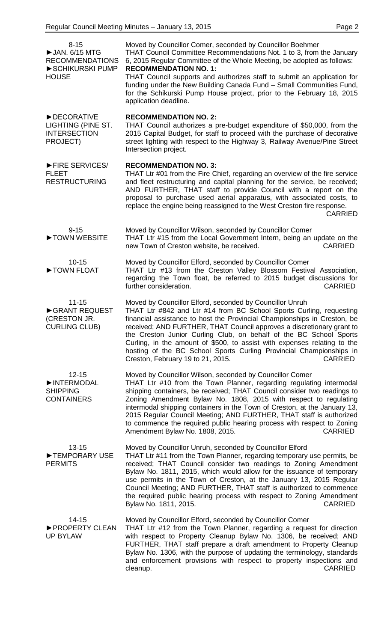8-15 ►JAN. 6/15 MTG RECOMMENDATIONS ►SCHIKURSKI PUMP **HOUSE** Moved by Councillor Comer, seconded by Councillor Boehmer THAT Council Committee Recommendations Not. 1 to 3, from the January 6, 2015 Regular Committee of the Whole Meeting, be adopted as follows: **RECOMMENDATION NO. 1:** THAT Council supports and authorizes staff to submit an application for funding under the New Building Canada Fund – Small Communities Fund, for the Schikurski Pump House project, prior to the February 18, 2015 application deadline. ►DECORATIVE LIGHTING (PINE ST. INTERSECTION PROJECT) **RECOMMENDATION NO. 2:** THAT Council authorizes a pre-budget expenditure of \$50,000, from the 2015 Capital Budget, for staff to proceed with the purchase of decorative street lighting with respect to the Highway 3, Railway Avenue/Pine Street Intersection project. ►FIRE SERVICES/ FLEET RESTRUCTURING **RECOMMENDATION NO. 3:** THAT Ltr #01 from the Fire Chief, regarding an overview of the fire service and fleet restructuring and capital planning for the service, be received; AND FURTHER, THAT staff to provide Council with a report on the proposal to purchase used aerial apparatus, with associated costs, to replace the engine being reassigned to the West Creston fire response. CARRIED 9-15 ►TOWN WEBSITE Moved by Councillor Wilson, seconded by Councillor Comer THAT Ltr #15 from the Local Government Intern, being an update on the new Town of Creston website, be received. CARRIED 10-15 ►TOWN FLOAT Moved by Councillor Elford, seconded by Councillor Comer THAT Ltr #13 from the Creston Valley Blossom Festival Association, regarding the Town float, be referred to 2015 budget discussions for further consideration. The constant of the constant of the consideration. 11-15 ►GRANT REQUEST (CRESTON JR. CURLING CLUB) Moved by Councillor Elford, seconded by Councillor Unruh THAT Ltr #842 and Ltr #14 from BC School Sports Curling, requesting financial assistance to host the Provincial Championships in Creston, be received; AND FURTHER, THAT Council approves a discretionary grant to the Creston Junior Curling Club, on behalf of the BC School Sports Curling, in the amount of \$500, to assist with expenses relating to the hosting of the BC School Sports Curling Provincial Championships in Creston, February 19 to 21, 2015. CARRIED 12-15 ►INTERMODAL SHIPPING **CONTAINERS** Moved by Councillor Wilson, seconded by Councillor Comer THAT Ltr #10 from the Town Planner, regarding regulating intermodal shipping containers, be received; THAT Council consider two readings to Zoning Amendment Bylaw No. 1808, 2015 with respect to regulating intermodal shipping containers in the Town of Creston, at the January 13, 2015 Regular Council Meeting; AND FURTHER, THAT staff is authorized to commence the required public hearing process with respect to Zoning Amendment Bylaw No. 1808, 2015. 13-15 ►TEMPORARY USE PERMITS Moved by Councillor Unruh, seconded by Councillor Elford THAT Ltr #11 from the Town Planner, regarding temporary use permits, be received; THAT Council consider two readings to Zoning Amendment Bylaw No. 1811, 2015, which would allow for the issuance of temporary use permits in the Town of Creston, at the January 13, 2015 Regular Council Meeting; AND FURTHER, THAT staff is authorized to commence the required public hearing process with respect to Zoning Amendment Bylaw No. 1811, 2015. CARRIED 14-15 ►PROPERTY CLEAN UP BYLAW Moved by Councillor Elford, seconded by Councillor Comer THAT Ltr #12 from the Town Planner, regarding a request for direction with respect to Property Cleanup Bylaw No. 1306, be received; AND FURTHER, THAT staff prepare a draft amendment to Property Cleanup Bylaw No. 1306, with the purpose of updating the terminology, standards and enforcement provisions with respect to property inspections and cleanup. CARRIED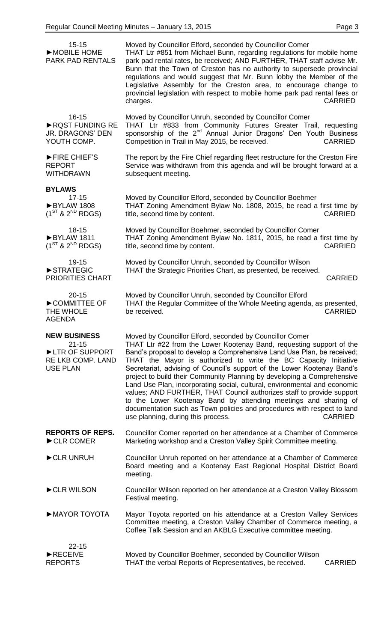| $15 - 15$<br>MOBILE HOME<br><b>PARK PAD RENTALS</b>                                        | Moved by Councillor Elford, seconded by Councillor Comer<br>THAT Ltr #851 from Michael Bunn, regarding regulations for mobile home<br>park pad rental rates, be received; AND FURTHER, THAT staff advise Mr.<br>Bunn that the Town of Creston has no authority to supersede provincial<br>regulations and would suggest that Mr. Bunn lobby the Member of the<br>Legislative Assembly for the Creston area, to encourage change to<br>provincial legislation with respect to mobile home park pad rental fees or<br><b>CARRIED</b><br>charges.                                                                                                                                                                                                                                                   |
|--------------------------------------------------------------------------------------------|--------------------------------------------------------------------------------------------------------------------------------------------------------------------------------------------------------------------------------------------------------------------------------------------------------------------------------------------------------------------------------------------------------------------------------------------------------------------------------------------------------------------------------------------------------------------------------------------------------------------------------------------------------------------------------------------------------------------------------------------------------------------------------------------------|
| $16 - 15$<br>RQST FUNDING RE<br>JR. DRAGONS' DEN<br>YOUTH COMP.                            | Moved by Councillor Unruh, seconded by Councillor Comer<br>THAT Ltr #833 from Community Futures Greater Trail, requesting<br>sponsorship of the 2 <sup>nd</sup> Annual Junior Dragons' Den Youth Business<br>Competition in Trail in May 2015, be received.<br><b>CARRIED</b>                                                                                                                                                                                                                                                                                                                                                                                                                                                                                                                    |
| FIRE CHIEF'S<br><b>REPORT</b><br><b>WITHDRAWN</b>                                          | The report by the Fire Chief regarding fleet restructure for the Creston Fire<br>Service was withdrawn from this agenda and will be brought forward at a<br>subsequent meeting.                                                                                                                                                                                                                                                                                                                                                                                                                                                                                                                                                                                                                  |
| <b>BYLAWS</b><br>$17 - 15$                                                                 |                                                                                                                                                                                                                                                                                                                                                                                                                                                                                                                                                                                                                                                                                                                                                                                                  |
| BYLAW 1808<br>$(1^{ST}$ & $2^{ND}$ RDGS)                                                   | Moved by Councillor Elford, seconded by Councillor Boehmer<br>THAT Zoning Amendment Bylaw No. 1808, 2015, be read a first time by<br>title, second time by content.<br><b>CARRIED</b>                                                                                                                                                                                                                                                                                                                                                                                                                                                                                                                                                                                                            |
| 18-15<br>BYLAW 1811<br>$(1^{ST}$ & $2^{ND}$ RDGS)                                          | Moved by Councillor Boehmer, seconded by Councillor Comer<br>THAT Zoning Amendment Bylaw No. 1811, 2015, be read a first time by<br>title, second time by content.<br><b>CARRIED</b>                                                                                                                                                                                                                                                                                                                                                                                                                                                                                                                                                                                                             |
| 19-15<br>STRATEGIC<br><b>PRIORITIES CHART</b>                                              | Moved by Councillor Unruh, seconded by Councillor Wilson<br>THAT the Strategic Priorities Chart, as presented, be received.<br><b>CARRIED</b>                                                                                                                                                                                                                                                                                                                                                                                                                                                                                                                                                                                                                                                    |
| $20 - 15$<br>COMMITTEE OF<br>THE WHOLE<br><b>AGENDA</b>                                    | Moved by Councillor Unruh, seconded by Councillor Elford<br>THAT the Regular Committee of the Whole Meeting agenda, as presented,<br><b>CARRIED</b><br>be received.                                                                                                                                                                                                                                                                                                                                                                                                                                                                                                                                                                                                                              |
| <b>NEW BUSINESS</b><br>$21 - 15$<br>LTR OF SUPPORT<br>RE LKB COMP. LAND<br><b>USE PLAN</b> | Moved by Councillor Elford, seconded by Councillor Comer<br>THAT Ltr #22 from the Lower Kootenay Band, requesting support of the<br>Band's proposal to develop a Comprehensive Land Use Plan, be received;<br>THAT the Mayor is authorized to write the BC Capacity Initiative<br>Secretariat, advising of Council's support of the Lower Kootenay Band's<br>project to build their Community Planning by developing a Comprehensive<br>Land Use Plan, incorporating social, cultural, environmental and economic<br>values; AND FURTHER, THAT Council authorizes staff to provide support<br>to the Lower Kootenay Band by attending meetings and sharing of<br>documentation such as Town policies and procedures with respect to land<br>use planning, during this process.<br><b>CARRIED</b> |
| <b>REPORTS OF REPS.</b><br>CLR COMER                                                       | Councillor Comer reported on her attendance at a Chamber of Commerce<br>Marketing workshop and a Creston Valley Spirit Committee meeting.                                                                                                                                                                                                                                                                                                                                                                                                                                                                                                                                                                                                                                                        |
| CLR UNRUH                                                                                  | Councillor Unruh reported on her attendance at a Chamber of Commerce<br>Board meeting and a Kootenay East Regional Hospital District Board<br>meeting.                                                                                                                                                                                                                                                                                                                                                                                                                                                                                                                                                                                                                                           |
| CLR WILSON                                                                                 | Councillor Wilson reported on her attendance at a Creston Valley Blossom<br>Festival meeting.                                                                                                                                                                                                                                                                                                                                                                                                                                                                                                                                                                                                                                                                                                    |
| MAYOR TOYOTA                                                                               | Mayor Toyota reported on his attendance at a Creston Valley Services<br>Committee meeting, a Creston Valley Chamber of Commerce meeting, a<br>Coffee Talk Session and an AKBLG Executive committee meeting.                                                                                                                                                                                                                                                                                                                                                                                                                                                                                                                                                                                      |
| $22 - 15$<br>RECEIVE<br><b>REPORTS</b>                                                     | Moved by Councillor Boehmer, seconded by Councillor Wilson<br>THAT the verbal Reports of Representatives, be received.<br><b>CARRIED</b>                                                                                                                                                                                                                                                                                                                                                                                                                                                                                                                                                                                                                                                         |